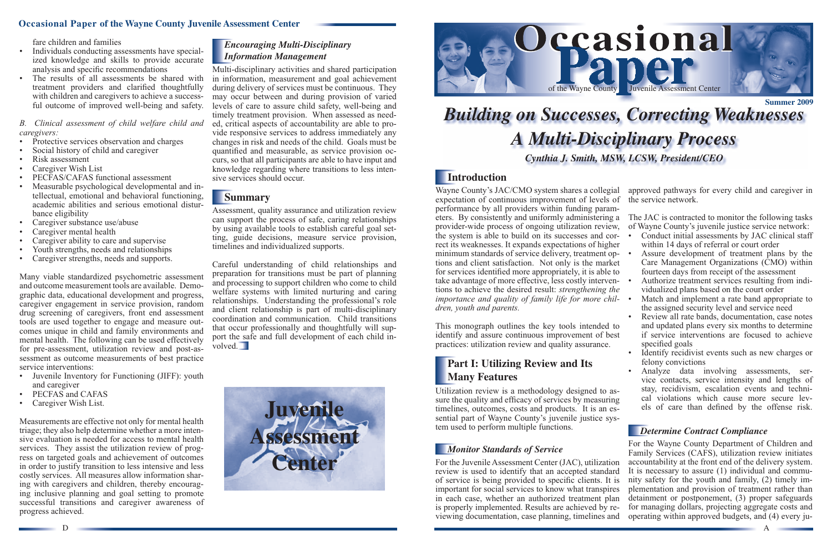D



### **Occasional Paper of the Wayne County Juvenile Assessment Center**

fare children and families

- Protective services observation and charges
- Social history of child and caregiver
- Risk assessment
- Caregiver Wish List
- PECFAS/CAFAS functional assessment
- Measurable psychological developmental and intellectual, emotional and behavioral functioning, academic abilities and serious emotional disturbance eligibility
- Caregiver substance use/abuse
- Caregiver mental health
- Caregiver ability to care and supervise
- Youth strengths, needs and relationships
- Caregiver strengths, needs and supports.
- Individuals conducting assessments have specialized knowledge and skills to provide accurate analysis and specific recommendations
- The results of all assessments be shared with treatment providers and clarified thoughtfully with children and caregivers to achieve a successful outcome of improved well-being and safety.

#### *B. Clinical assessment of child welfare child and caregivers:*

Many viable standardized psychometric assessment and outcome measurement tools are available. Demographic data, educational development and progress, caregiver engagement in service provision, random drug screening of caregivers, front end assessment tools are used together to engage and measure outcomes unique in child and family environments and mental health. The following can be used effectively for pre-assessment, utilization review and post-assessment as outcome measurements of best practice service interventions:

Careful understanding of child relationships and preparation for transitions must be part of planning and processing to support children who come to child welfare systems with limited nurturing and caring relationships. Understanding the professional's role and client relationship is part of multi-disciplinary coordination and communication. Child transitions that occur professionally and thoughtfully will support the safe and full development of each child involved.

- Juvenile Inventory for Functioning (JIFF): youth and caregiver
- PECFAS and CAFAS
- Caregiver Wish List.

Measurements are effective not only for mental health triage; they also help determine whether a more intensive evaluation is needed for access to mental health services. They assist the utilization review of progress on targeted goals and achievement of outcomes in order to justify transition to less intensive and less costly services. All measures allow information sharing with caregivers and children, thereby encouraging inclusive planning and goal setting to promote successful transitions and caregiver awareness of progress achieved.

# *Encouraging Multi-Disciplinary Information Management*

# **Part I: Utilizing Review and Its Many Features**

Multi-disciplinary activities and shared participation in information, measurement and goal achievement during delivery of services must be continuous. They may occur between and during provision of varied levels of care to assure child safety, well-being and timely treatment provision. When assessed as needed, critical aspects of accountability are able to provide responsive services to address immediately any changes in risk and needs of the child. Goals must be quantified and measurable, as service provision occurs, so that all participants are able to have input and knowledge regarding where transitions to less intensive services should occur.

# **Summary**

Assure development of treatment plans by the Care Management Organizations (CMO) within fourteen days from receipt of the assessment

Match and implement a rate band appropriate to the assigned security level and service need

Review all rate bands, documentation, case notes and updated plans every six months to determine if service interventions are focused to achieve specified goals

Assessment, quality assurance and utilization review can support the process of safe, caring relationships by using available tools to establish careful goal setting, guide decisions, measure service provision, timelines and individualized supports.

> • Analyze data involving assessments, service contacts, service intensity and lengths of stay, recidivism, escalation events and technical violations which cause more secure levels of care than defined by the offense risk.



# *Building on Successes, Correcting Weaknesses A Multi-Disciplinary Process Cynthia J. Smith, MSW, LCSW, President/CEO*



# **Introduction**

Wayne County's JAC/CMO system shares a collegial expectation of continuous improvement of levels of the service network. performance by all providers within funding parameters. By consistently and uniformly administering a provider-wide process of ongoing utilization review, the system is able to build on its successes and correct its weaknesses. It expands expectations of higher minimum standards of service delivery, treatment options and client satisfaction. Not only is the market for services identified more appropriately, it is able to take advantage of more effective, less costly interventions to achieve the desired result: *strengthening the importance and quality of family life for more children, youth and parents.*

This monograph outlines the key tools intended to identify and assure continuous improvement of best practices: utilization review and quality assurance.

Utilization review is a methodology designed to assure the quality and efficacy of services by measuring timelines, outcomes, costs and products. It is an essential part of Wayne County's juvenile justice system used to perform multiple functions.

# *Monitor Standards of Service*

For the Juvenile Assessment Center (JAC), utilization review is used to identify that an accepted standard of service is being provided to specific clients. It is important for social services to know what transpires in each case, whether an authorized treatment plan is properly implemented. Results are achieved by reviewing documentation, case planning, timelines and

- 
- 

approved pathways for every child and caregiver in

The JAC is contracted to monitor the following tasks of Wayne County's juvenile justice service network: Conduct initial assessments by JAC clinical staff within 14 days of referral or court order

• Authorize treatment services resulting from individualized plans based on the court order

• Identify recidivist events such as new charges or felony convictions

#### *Determine Contract Compliance*

For the Wayne County Department of Children and Family Services (CAFS), utilization review initiates accountability at the front end of the delivery system. It is necessary to assure (1) individual and community safety for the youth and family, (2) timely implementation and provision of treatment rather than detainment or postponement, (3) proper safeguards for managing dollars, projecting aggregate costs and operating within approved budgets, and (4) every ju-